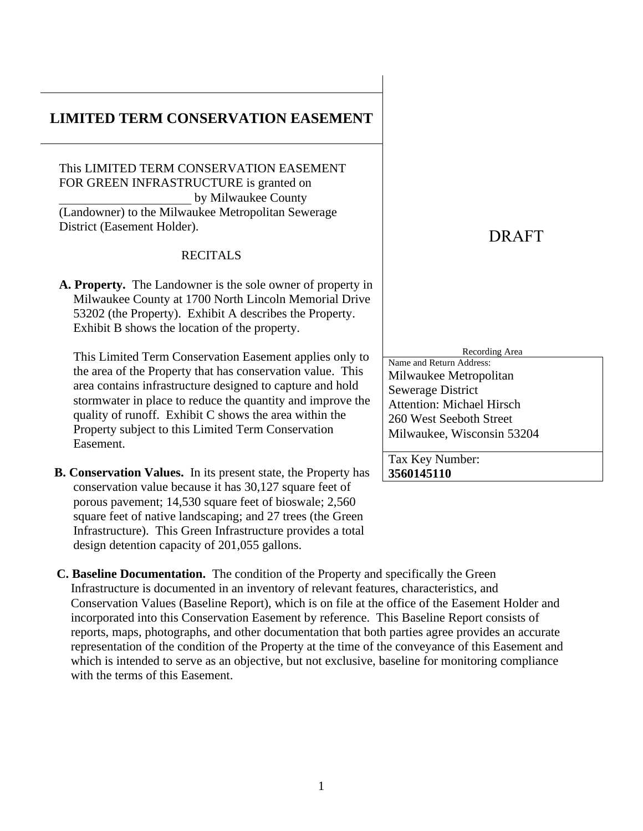# **LIMITED TERM CONSERVATION EASEMENT**

This LIMITED TERM CONSERVATION EASEMENT FOR GREEN INFRASTRUCTURE is granted on by Milwaukee County (Landowner) to the Milwaukee Metropolitan Sewerage District (Easement Holder).

#### RECITALS

**A. Property.** The Landowner is the sole owner of property in Milwaukee County at 1700 North Lincoln Memorial Drive 53202 (the Property). Exhibit A describes the Property. Exhibit B shows the location of the property.

This Limited Term Conservation Easement applies only to the area of the Property that has conservation value. This area contains infrastructure designed to capture and hold stormwater in place to reduce the quantity and improve the quality of runoff. Exhibit C shows the area within the Property subject to this Limited Term Conservation Easement.

**B. Conservation Values.** In its present state, the Property has conservation value because it has 30,127 square feet of porous pavement; 14,530 square feet of bioswale; 2,560 square feet of native landscaping; and 27 trees (the Green Infrastructure). This Green Infrastructure provides a total design detention capacity of 201,055 gallons.

# DRAFT

Recording Area

Name and Return Address: Milwaukee Metropolitan Sewerage District Attention: Michael Hirsch 260 West Seeboth Street Milwaukee, Wisconsin 53204

Tax Key Number: **3560145110**

**C. Baseline Documentation.** The condition of the Property and specifically the Green Infrastructure is documented in an inventory of relevant features, characteristics, and Conservation Values (Baseline Report), which is on file at the office of the Easement Holder and incorporated into this Conservation Easement by reference. This Baseline Report consists of reports, maps, photographs, and other documentation that both parties agree provides an accurate representation of the condition of the Property at the time of the conveyance of this Easement and which is intended to serve as an objective, but not exclusive, baseline for monitoring compliance with the terms of this Easement.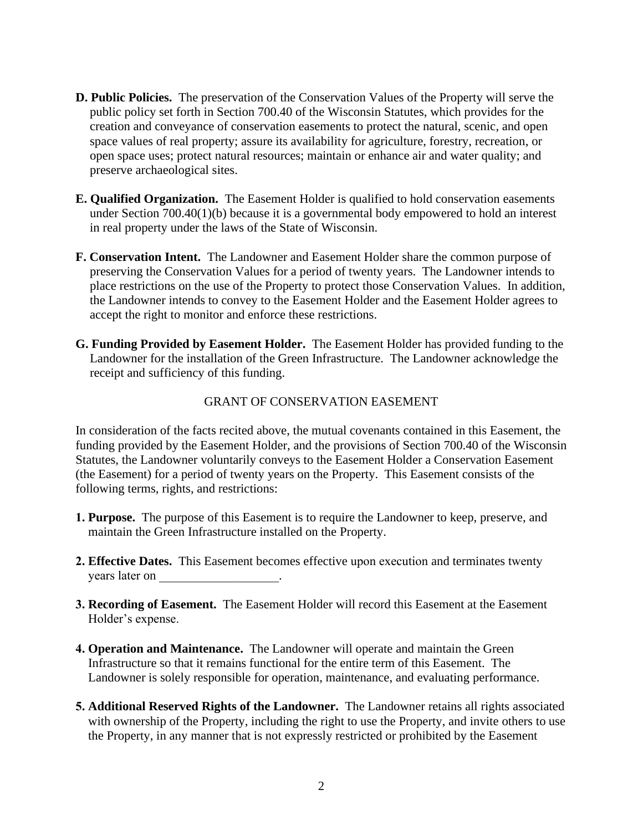- **D. Public Policies.** The preservation of the Conservation Values of the Property will serve the public policy set forth in Section 700.40 of the Wisconsin Statutes, which provides for the creation and conveyance of conservation easements to protect the natural, scenic, and open space values of real property; assure its availability for agriculture, forestry, recreation, or open space uses; protect natural resources; maintain or enhance air and water quality; and preserve archaeological sites.
- **E. Qualified Organization.** The Easement Holder is qualified to hold conservation easements under Section 700.40(1)(b) because it is a governmental body empowered to hold an interest in real property under the laws of the State of Wisconsin.
- **F. Conservation Intent.** The Landowner and Easement Holder share the common purpose of preserving the Conservation Values for a period of twenty years. The Landowner intends to place restrictions on the use of the Property to protect those Conservation Values. In addition, the Landowner intends to convey to the Easement Holder and the Easement Holder agrees to accept the right to monitor and enforce these restrictions.
- **G. Funding Provided by Easement Holder.** The Easement Holder has provided funding to the Landowner for the installation of the Green Infrastructure. The Landowner acknowledge the receipt and sufficiency of this funding.

#### GRANT OF CONSERVATION EASEMENT

In consideration of the facts recited above, the mutual covenants contained in this Easement, the funding provided by the Easement Holder, and the provisions of Section 700.40 of the Wisconsin Statutes, the Landowner voluntarily conveys to the Easement Holder a Conservation Easement (the Easement) for a period of twenty years on the Property. This Easement consists of the following terms, rights, and restrictions:

- **1. Purpose.** The purpose of this Easement is to require the Landowner to keep, preserve, and maintain the Green Infrastructure installed on the Property.
- **2. Effective Dates.** This Easement becomes effective upon execution and terminates twenty years later on \_\_\_\_\_\_\_\_\_\_\_\_\_\_\_\_\_\_\_.
- **3. Recording of Easement.** The Easement Holder will record this Easement at the Easement Holder's expense.
- **4. Operation and Maintenance.** The Landowner will operate and maintain the Green Infrastructure so that it remains functional for the entire term of this Easement. The Landowner is solely responsible for operation, maintenance, and evaluating performance.
- **5. Additional Reserved Rights of the Landowner.** The Landowner retains all rights associated with ownership of the Property, including the right to use the Property, and invite others to use the Property, in any manner that is not expressly restricted or prohibited by the Easement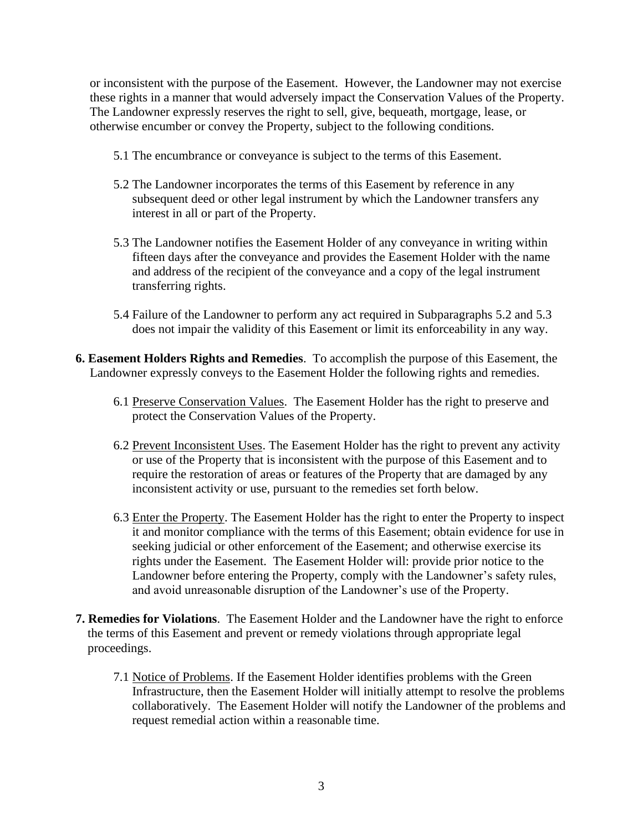or inconsistent with the purpose of the Easement. However, the Landowner may not exercise these rights in a manner that would adversely impact the Conservation Values of the Property. The Landowner expressly reserves the right to sell, give, bequeath, mortgage, lease, or otherwise encumber or convey the Property, subject to the following conditions.

- 5.1 The encumbrance or conveyance is subject to the terms of this Easement.
- 5.2 The Landowner incorporates the terms of this Easement by reference in any subsequent deed or other legal instrument by which the Landowner transfers any interest in all or part of the Property.
- 5.3 The Landowner notifies the Easement Holder of any conveyance in writing within fifteen days after the conveyance and provides the Easement Holder with the name and address of the recipient of the conveyance and a copy of the legal instrument transferring rights.
- 5.4 Failure of the Landowner to perform any act required in Subparagraphs 5.2 and 5.3 does not impair the validity of this Easement or limit its enforceability in any way.
- **6. Easement Holders Rights and Remedies**. To accomplish the purpose of this Easement, the Landowner expressly conveys to the Easement Holder the following rights and remedies.
	- 6.1 Preserve Conservation Values. The Easement Holder has the right to preserve and protect the Conservation Values of the Property.
	- 6.2 Prevent Inconsistent Uses. The Easement Holder has the right to prevent any activity or use of the Property that is inconsistent with the purpose of this Easement and to require the restoration of areas or features of the Property that are damaged by any inconsistent activity or use, pursuant to the remedies set forth below.
	- 6.3 Enter the Property. The Easement Holder has the right to enter the Property to inspect it and monitor compliance with the terms of this Easement; obtain evidence for use in seeking judicial or other enforcement of the Easement; and otherwise exercise its rights under the Easement. The Easement Holder will: provide prior notice to the Landowner before entering the Property, comply with the Landowner's safety rules, and avoid unreasonable disruption of the Landowner's use of the Property.
- **7. Remedies for Violations**. The Easement Holder and the Landowner have the right to enforce the terms of this Easement and prevent or remedy violations through appropriate legal proceedings.
	- 7.1 Notice of Problems. If the Easement Holder identifies problems with the Green Infrastructure, then the Easement Holder will initially attempt to resolve the problems collaboratively. The Easement Holder will notify the Landowner of the problems and request remedial action within a reasonable time.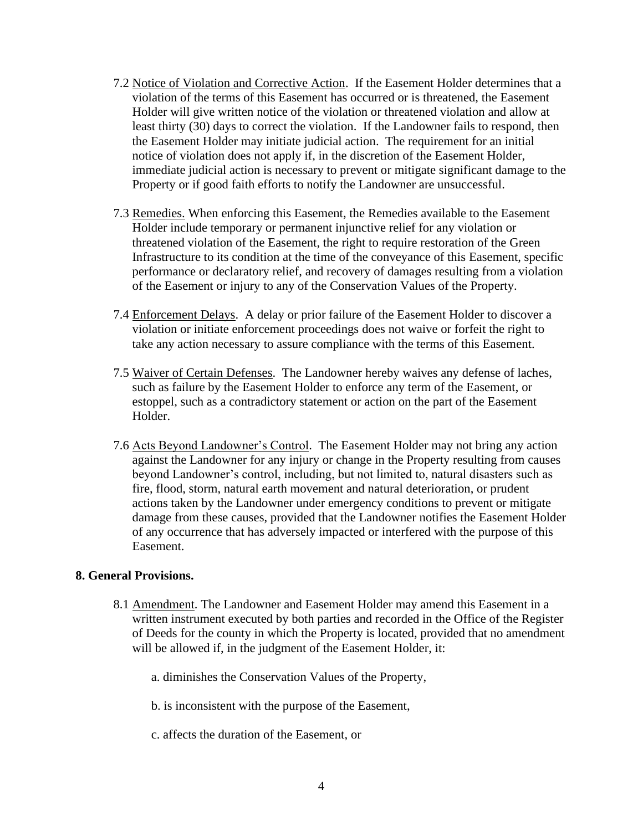- 7.2 Notice of Violation and Corrective Action. If the Easement Holder determines that a violation of the terms of this Easement has occurred or is threatened, the Easement Holder will give written notice of the violation or threatened violation and allow at least thirty (30) days to correct the violation. If the Landowner fails to respond, then the Easement Holder may initiate judicial action. The requirement for an initial notice of violation does not apply if, in the discretion of the Easement Holder, immediate judicial action is necessary to prevent or mitigate significant damage to the Property or if good faith efforts to notify the Landowner are unsuccessful.
- 7.3 Remedies. When enforcing this Easement, the Remedies available to the Easement Holder include temporary or permanent injunctive relief for any violation or threatened violation of the Easement, the right to require restoration of the Green Infrastructure to its condition at the time of the conveyance of this Easement, specific performance or declaratory relief, and recovery of damages resulting from a violation of the Easement or injury to any of the Conservation Values of the Property.
- 7.4 Enforcement Delays. A delay or prior failure of the Easement Holder to discover a violation or initiate enforcement proceedings does not waive or forfeit the right to take any action necessary to assure compliance with the terms of this Easement.
- 7.5 Waiver of Certain Defenses. The Landowner hereby waives any defense of laches, such as failure by the Easement Holder to enforce any term of the Easement, or estoppel, such as a contradictory statement or action on the part of the Easement Holder.
- 7.6 Acts Beyond Landowner's Control. The Easement Holder may not bring any action against the Landowner for any injury or change in the Property resulting from causes beyond Landowner's control, including, but not limited to, natural disasters such as fire, flood, storm, natural earth movement and natural deterioration, or prudent actions taken by the Landowner under emergency conditions to prevent or mitigate damage from these causes, provided that the Landowner notifies the Easement Holder of any occurrence that has adversely impacted or interfered with the purpose of this Easement.

#### **8. General Provisions.**

- 8.1 Amendment. The Landowner and Easement Holder may amend this Easement in a written instrument executed by both parties and recorded in the Office of the Register of Deeds for the county in which the Property is located, provided that no amendment will be allowed if, in the judgment of the Easement Holder, it:
	- a. diminishes the Conservation Values of the Property,
	- b. is inconsistent with the purpose of the Easement,
	- c. affects the duration of the Easement, or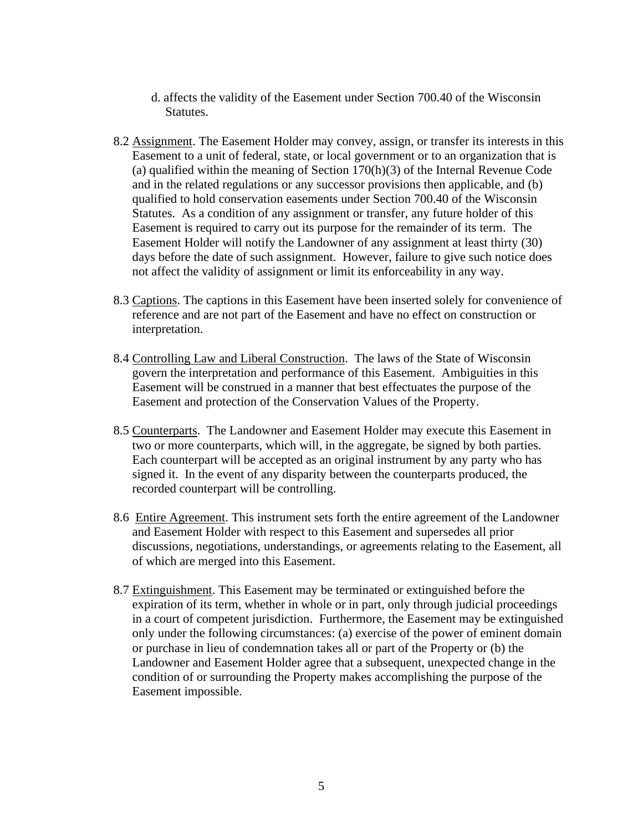- d. affects the validity of the Easement under Section 700.40 of the Wisconsin Statutes.
- 8.2 Assignment. The Easement Holder may convey, assign, or transfer its interests in this Easement to a unit of federal, state, or local government or to an organization that is (a) qualified within the meaning of Section 170(h)(3) of the Internal Revenue Code and in the related regulations or any successor provisions then applicable, and (b) qualified to hold conservation easements under Section 700.40 of the Wisconsin Statutes. As a condition of any assignment or transfer, any future holder of this Easement is required to carry out its purpose for the remainder of its term. The Easement Holder will notify the Landowner of any assignment at least thirty (30) days before the date of such assignment. However, failure to give such notice does not affect the validity of assignment or limit its enforceability in any way.
- 8.3 Captions. The captions in this Easement have been inserted solely for convenience of reference and are not part of the Easement and have no effect on construction or interpretation.
- 8.4 Controlling Law and Liberal Construction. The laws of the State of Wisconsin govern the interpretation and performance of this Easement. Ambiguities in this Easement will be construed in a manner that best effectuates the purpose of the Easement and protection of the Conservation Values of the Property.
- 8.5 Counterparts. The Landowner and Easement Holder may execute this Easement in two or more counterparts, which will, in the aggregate, be signed by both parties. Each counterpart will be accepted as an original instrument by any party who has signed it. In the event of any disparity between the counterparts produced, the recorded counterpart will be controlling.
- 8.6 Entire Agreement. This instrument sets forth the entire agreement of the Landowner and Easement Holder with respect to this Easement and supersedes all prior discussions, negotiations, understandings, or agreements relating to the Easement, all of which are merged into this Easement.
- 8.7 Extinguishment. This Easement may be terminated or extinguished before the expiration of its term, whether in whole or in part, only through judicial proceedings in a court of competent jurisdiction. Furthermore, the Easement may be extinguished only under the following circumstances: (a) exercise of the power of eminent domain or purchase in lieu of condemnation takes all or part of the Property or (b) the Landowner and Easement Holder agree that a subsequent, unexpected change in the condition of or surrounding the Property makes accomplishing the purpose of the Easement impossible.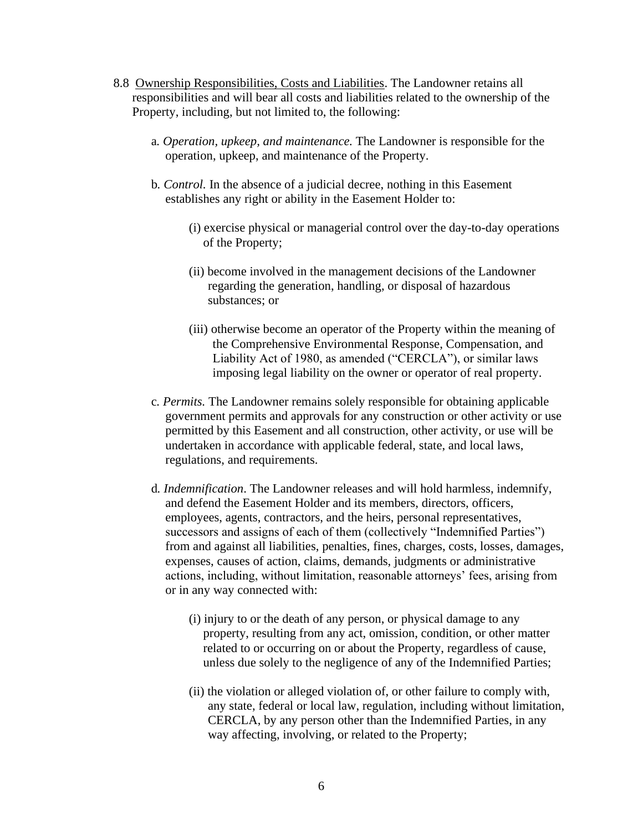- 8.8 Ownership Responsibilities, Costs and Liabilities. The Landowner retains all responsibilities and will bear all costs and liabilities related to the ownership of the Property, including, but not limited to, the following:
	- a*. Operation, upkeep, and maintenance.* The Landowner is responsible for the operation, upkeep, and maintenance of the Property.
	- b*. Control.* In the absence of a judicial decree, nothing in this Easement establishes any right or ability in the Easement Holder to:
		- (i) exercise physical or managerial control over the day-to-day operations of the Property;
		- (ii) become involved in the management decisions of the Landowner regarding the generation, handling, or disposal of hazardous substances; or
		- (iii) otherwise become an operator of the Property within the meaning of the Comprehensive Environmental Response, Compensation, and Liability Act of 1980, as amended ("CERCLA"), or similar laws imposing legal liability on the owner or operator of real property.
	- c*. Permits.* The Landowner remains solely responsible for obtaining applicable government permits and approvals for any construction or other activity or use permitted by this Easement and all construction, other activity, or use will be undertaken in accordance with applicable federal, state, and local laws, regulations, and requirements.
	- d*. Indemnification*. The Landowner releases and will hold harmless, indemnify, and defend the Easement Holder and its members, directors, officers, employees, agents, contractors, and the heirs, personal representatives, successors and assigns of each of them (collectively "Indemnified Parties") from and against all liabilities, penalties, fines, charges, costs, losses, damages, expenses, causes of action, claims, demands, judgments or administrative actions, including, without limitation, reasonable attorneys' fees, arising from or in any way connected with:
		- (i) injury to or the death of any person, or physical damage to any property, resulting from any act, omission, condition, or other matter related to or occurring on or about the Property, regardless of cause, unless due solely to the negligence of any of the Indemnified Parties;
		- (ii) the violation or alleged violation of, or other failure to comply with, any state, federal or local law, regulation, including without limitation, CERCLA, by any person other than the Indemnified Parties, in any way affecting, involving, or related to the Property;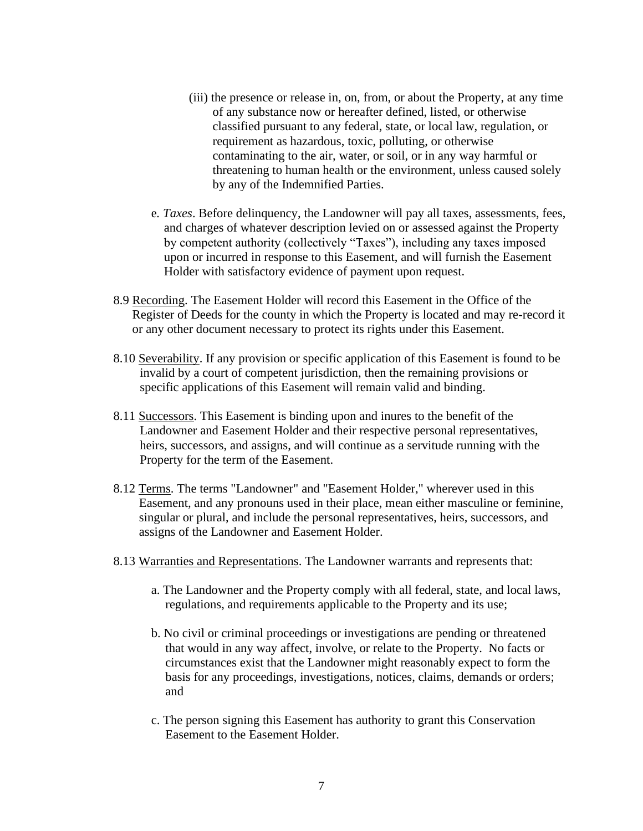- (iii) the presence or release in, on, from, or about the Property, at any time of any substance now or hereafter defined, listed, or otherwise classified pursuant to any federal, state, or local law, regulation, or requirement as hazardous, toxic, polluting, or otherwise contaminating to the air, water, or soil, or in any way harmful or threatening to human health or the environment, unless caused solely by any of the Indemnified Parties.
- e*. Taxes*. Before delinquency, the Landowner will pay all taxes, assessments, fees, and charges of whatever description levied on or assessed against the Property by competent authority (collectively "Taxes"), including any taxes imposed upon or incurred in response to this Easement, and will furnish the Easement Holder with satisfactory evidence of payment upon request.
- 8.9 Recording. The Easement Holder will record this Easement in the Office of the Register of Deeds for the county in which the Property is located and may re-record it or any other document necessary to protect its rights under this Easement.
- 8.10 Severability. If any provision or specific application of this Easement is found to be invalid by a court of competent jurisdiction, then the remaining provisions or specific applications of this Easement will remain valid and binding.
- 8.11 Successors. This Easement is binding upon and inures to the benefit of the Landowner and Easement Holder and their respective personal representatives, heirs, successors, and assigns, and will continue as a servitude running with the Property for the term of the Easement.
- 8.12 Terms. The terms "Landowner" and "Easement Holder," wherever used in this Easement, and any pronouns used in their place, mean either masculine or feminine, singular or plural, and include the personal representatives, heirs, successors, and assigns of the Landowner and Easement Holder.
- 8.13 Warranties and Representations. The Landowner warrants and represents that:
	- a. The Landowner and the Property comply with all federal, state, and local laws, regulations, and requirements applicable to the Property and its use;
	- b. No civil or criminal proceedings or investigations are pending or threatened that would in any way affect, involve, or relate to the Property. No facts or circumstances exist that the Landowner might reasonably expect to form the basis for any proceedings, investigations, notices, claims, demands or orders; and
	- c. The person signing this Easement has authority to grant this Conservation Easement to the Easement Holder.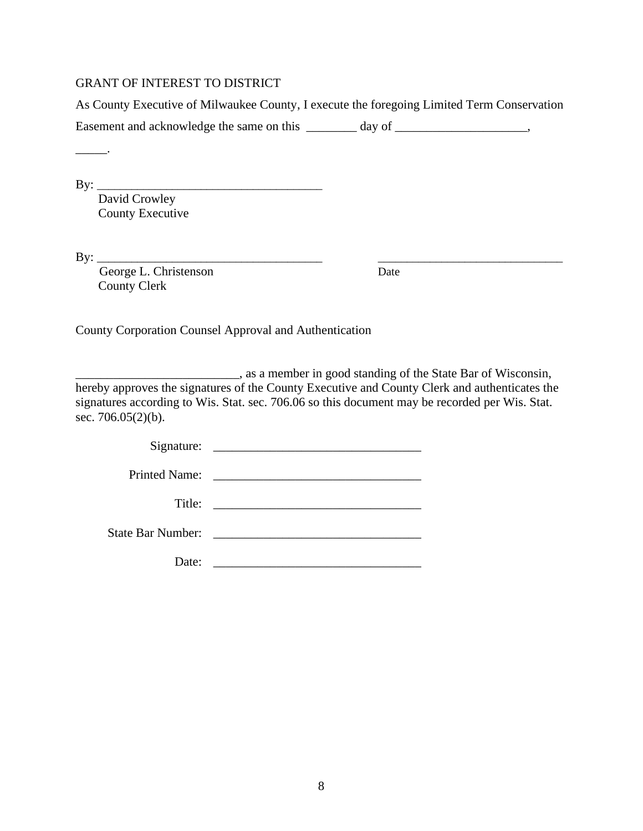#### GRANT OF INTEREST TO DISTRICT

As County Executive of Milwaukee County, I execute the foregoing Limited Term Conservation Easement and acknowledge the same on this \_\_\_\_\_\_\_ day of \_\_\_\_\_\_\_\_\_\_\_\_\_\_\_\_\_\_\_\_\_\_\_\_

By: \_\_\_\_\_\_\_\_\_\_\_\_\_\_\_\_\_\_\_\_\_\_\_\_\_\_\_\_\_\_\_\_\_\_\_\_\_\_\_

\_\_\_\_\_.

David Crowley County Executive

 $\text{By:}\_$ 

George L. Christenson Date County Clerk

County Corporation Counsel Approval and Authentication

\_\_\_\_\_\_\_\_\_\_\_\_\_\_\_\_\_\_\_\_\_\_\_\_\_\_, as a member in good standing of the State Bar of Wisconsin, hereby approves the signatures of the County Executive and County Clerk and authenticates the signatures according to Wis. Stat. sec. 706.06 so this document may be recorded per Wis. Stat. sec. 706.05(2)(b).

|       | State Bar Number: 2008. [19] March 2014. [19] March 2014. [19] March 2014. [19] March 2014. [19] March 2014. [ |
|-------|----------------------------------------------------------------------------------------------------------------|
|       |                                                                                                                |
| Date: | <u> 1990 - Johann Barbara, martin amerikan bashkan a</u>                                                       |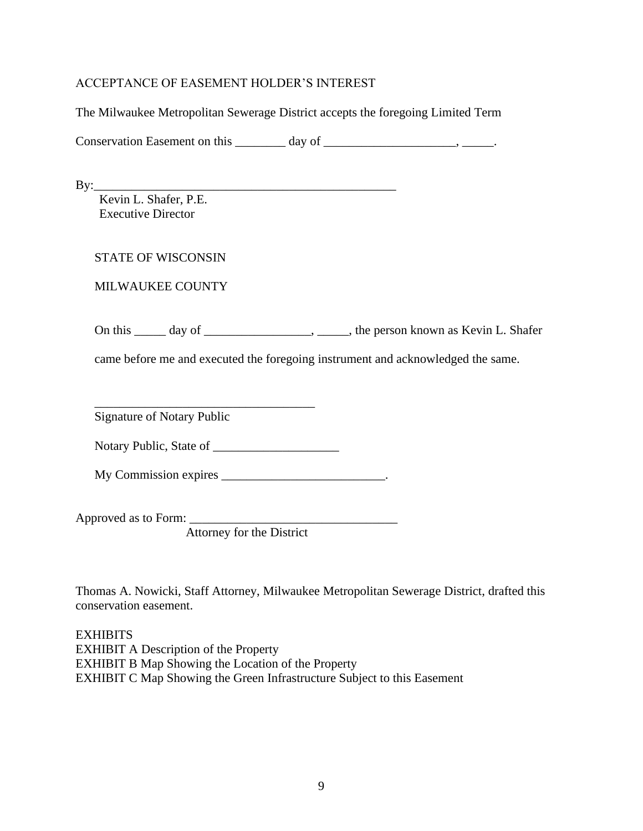#### ACCEPTANCE OF EASEMENT HOLDER'S INTEREST

The Milwaukee Metropolitan Sewerage District accepts the foregoing Limited Term

Conservation Easement on this  $\_\_\_\_$  day of  $\_\_\_\_\_\_\_$ 

By:\_\_\_\_\_\_\_\_\_\_\_\_\_\_\_\_\_\_\_\_\_\_\_\_\_\_\_\_\_\_\_\_\_\_\_\_\_\_\_\_\_\_\_\_\_\_\_\_

Kevin L. Shafer, P.E. Executive Director

STATE OF WISCONSIN

MILWAUKEE COUNTY

On this \_\_\_\_\_ day of \_\_\_\_\_\_\_\_\_\_\_\_\_\_\_\_\_, \_\_\_\_\_, the person known as Kevin L. Shafer

came before me and executed the foregoing instrument and acknowledged the same.

\_\_\_\_\_\_\_\_\_\_\_\_\_\_\_\_\_\_\_\_\_\_\_\_\_\_\_\_\_\_\_\_\_\_\_ Signature of Notary Public

Notary Public, State of \_\_\_\_\_\_\_\_\_\_\_\_\_\_\_\_\_\_\_\_

My Commission expires \_\_\_\_\_\_\_\_\_\_\_\_\_\_\_\_\_\_\_\_\_\_\_\_\_\_\_\_\_\_.

Approved as to Form: \_\_\_\_\_\_\_\_\_\_\_\_\_\_\_\_\_\_\_\_\_\_\_\_\_\_\_\_\_\_\_\_\_

Attorney for the District

Thomas A. Nowicki, Staff Attorney, Milwaukee Metropolitan Sewerage District, drafted this conservation easement.

**EXHIBITS** EXHIBIT A Description of the Property EXHIBIT B Map Showing the Location of the Property EXHIBIT C Map Showing the Green Infrastructure Subject to this Easement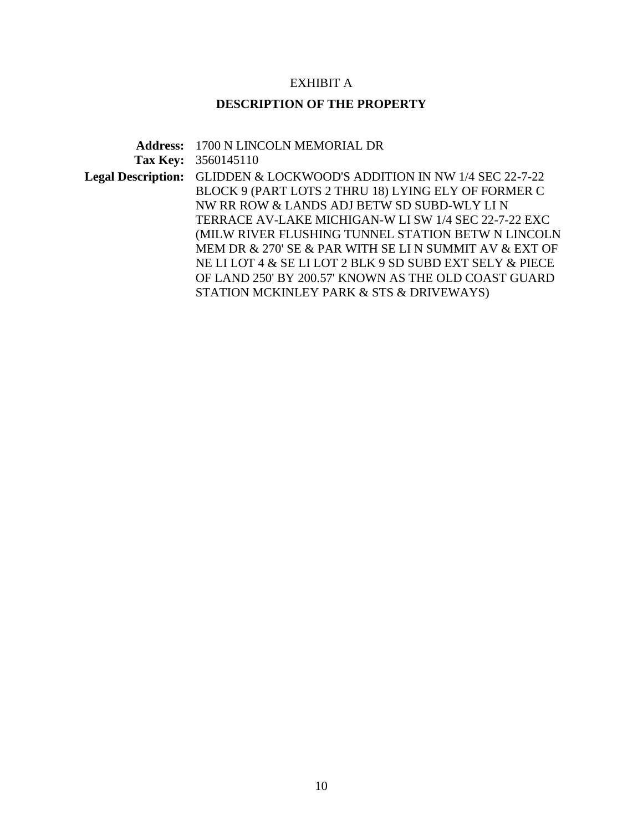### EXHIBIT A

## **DESCRIPTION OF THE PROPERTY**

|          | <b>Address: 1700 N LINCOLN MEMORIAL DR</b>                                    |
|----------|-------------------------------------------------------------------------------|
| Tax Key: | 3560145110                                                                    |
|          | <b>Legal Description:</b> GLIDDEN & LOCKWOOD'S ADDITION IN NW 1/4 SEC 22-7-22 |
|          | BLOCK 9 (PART LOTS 2 THRU 18) LYING ELY OF FORMER C                           |
|          | NW RR ROW & LANDS ADJ BETW SD SUBD-WLY LIN                                    |
|          | TERRACE AV-LAKE MICHIGAN-W LI SW 1/4 SEC 22-7-22 EXC                          |
|          | (MILW RIVER FLUSHING TUNNEL STATION BETW N LINCOLN                            |
|          | MEM DR & 270' SE & PAR WITH SE LI N SUMMIT AV & EXT OF                        |
|          | NE LI LOT 4 & SE LI LOT 2 BLK 9 SD SUBD EXT SELY & PIECE                      |
|          | OF LAND 250' BY 200.57' KNOWN AS THE OLD COAST GUARD                          |
|          | STATION MCKINLEY PARK & STS & DRIVEWAYS)                                      |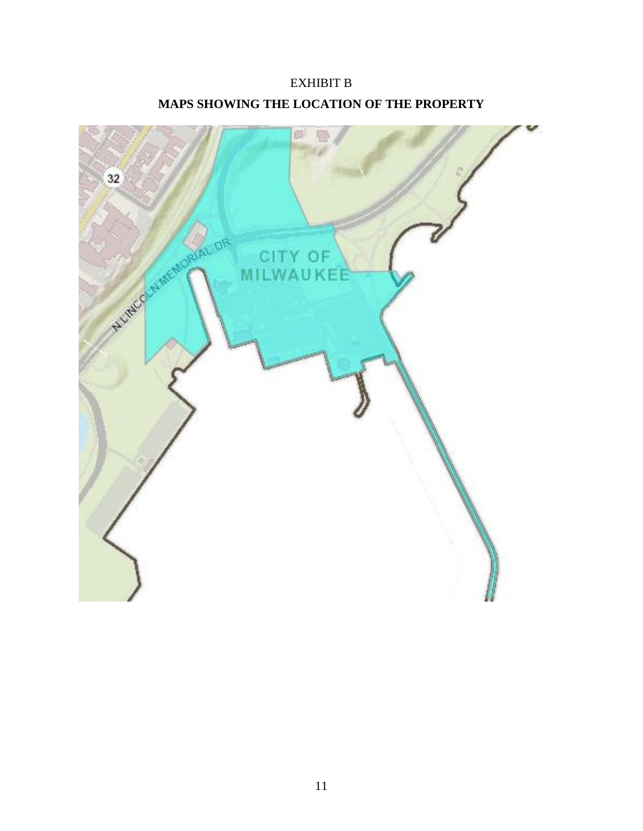# EXHIBIT B **MAPS SHOWING THE LOCATION OF THE PROPERTY**